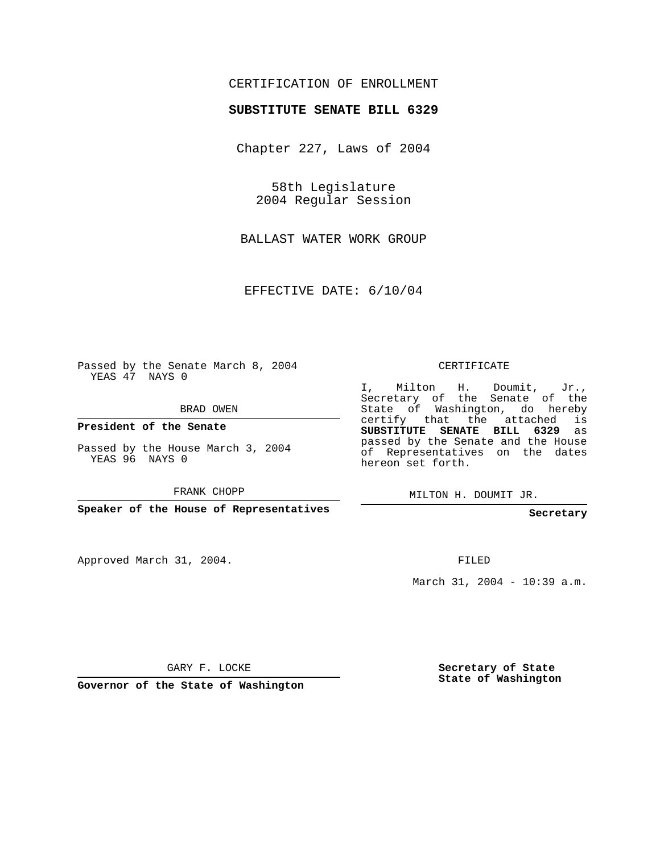## CERTIFICATION OF ENROLLMENT

## **SUBSTITUTE SENATE BILL 6329**

Chapter 227, Laws of 2004

58th Legislature 2004 Regular Session

BALLAST WATER WORK GROUP

EFFECTIVE DATE: 6/10/04

Passed by the Senate March 8, 2004 YEAS 47 NAYS 0

BRAD OWEN

**President of the Senate**

Passed by the House March 3, 2004 YEAS 96 NAYS 0

FRANK CHOPP

**Speaker of the House of Representatives**

Approved March 31, 2004.

CERTIFICATE

I, Milton H. Doumit, Jr., Secretary of the Senate of the State of Washington, do hereby certify that the attached is **SUBSTITUTE SENATE BILL 6329** as passed by the Senate and the House of Representatives on the dates hereon set forth.

MILTON H. DOUMIT JR.

**Secretary**

FILED

March 31, 2004 - 10:39 a.m.

GARY F. LOCKE

**Governor of the State of Washington**

**Secretary of State State of Washington**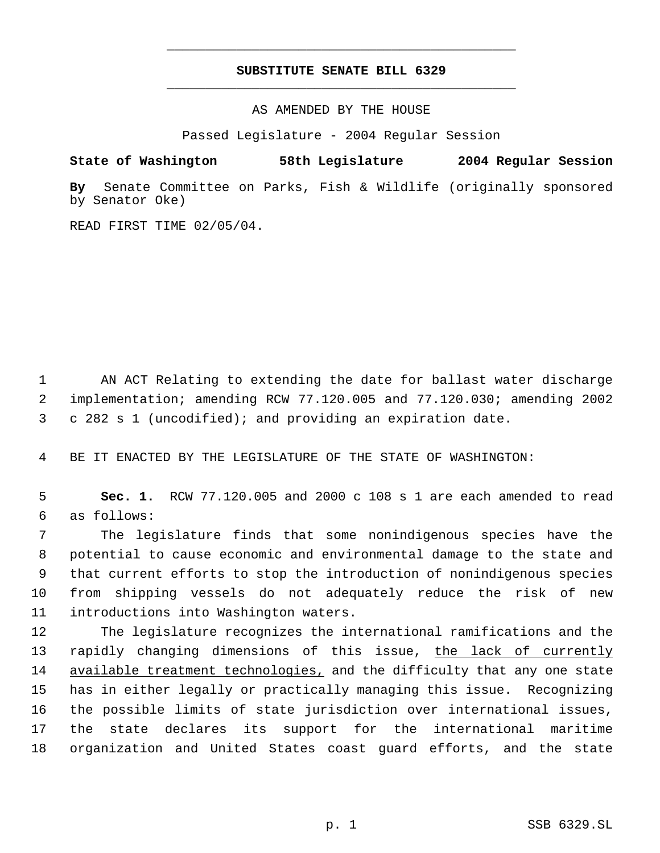## **SUBSTITUTE SENATE BILL 6329** \_\_\_\_\_\_\_\_\_\_\_\_\_\_\_\_\_\_\_\_\_\_\_\_\_\_\_\_\_\_\_\_\_\_\_\_\_\_\_\_\_\_\_\_\_

\_\_\_\_\_\_\_\_\_\_\_\_\_\_\_\_\_\_\_\_\_\_\_\_\_\_\_\_\_\_\_\_\_\_\_\_\_\_\_\_\_\_\_\_\_

AS AMENDED BY THE HOUSE

Passed Legislature - 2004 Regular Session

**State of Washington 58th Legislature 2004 Regular Session**

**By** Senate Committee on Parks, Fish & Wildlife (originally sponsored by Senator Oke)

READ FIRST TIME 02/05/04.

 1 AN ACT Relating to extending the date for ballast water discharge 2 implementation; amending RCW 77.120.005 and 77.120.030; amending 2002 3 c 282 s 1 (uncodified); and providing an expiration date.

4 BE IT ENACTED BY THE LEGISLATURE OF THE STATE OF WASHINGTON:

 5 **Sec. 1.** RCW 77.120.005 and 2000 c 108 s 1 are each amended to read 6 as follows:

 The legislature finds that some nonindigenous species have the potential to cause economic and environmental damage to the state and that current efforts to stop the introduction of nonindigenous species from shipping vessels do not adequately reduce the risk of new introductions into Washington waters.

 The legislature recognizes the international ramifications and the 13 rapidly changing dimensions of this issue, the lack of currently 14 available treatment technologies, and the difficulty that any one state has in either legally or practically managing this issue. Recognizing the possible limits of state jurisdiction over international issues, the state declares its support for the international maritime organization and United States coast guard efforts, and the state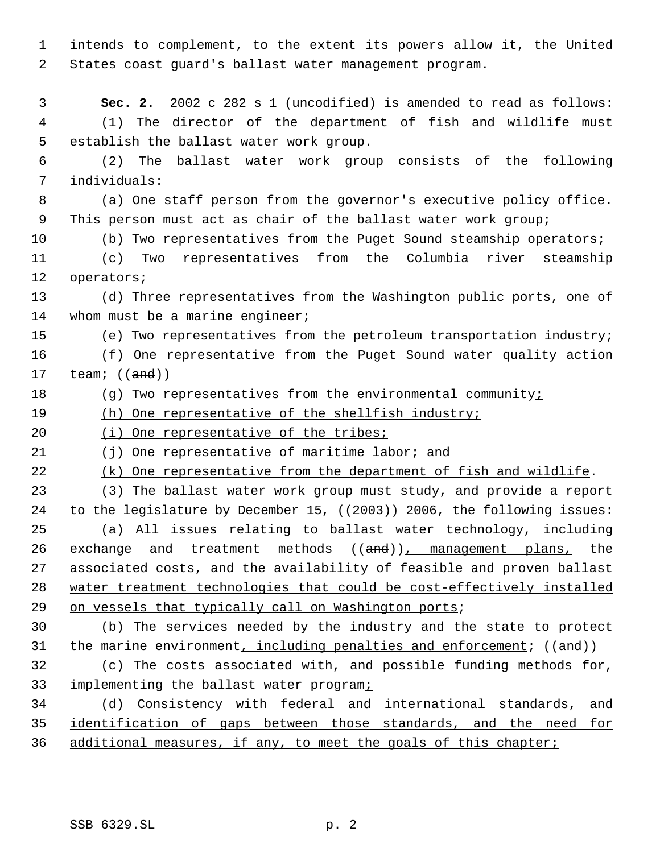intends to complement, to the extent its powers allow it, the United States coast guard's ballast water management program.

 **Sec. 2.** 2002 c 282 s 1 (uncodified) is amended to read as follows: (1) The director of the department of fish and wildlife must establish the ballast water work group.

 (2) The ballast water work group consists of the following individuals:

 (a) One staff person from the governor's executive policy office. This person must act as chair of the ballast water work group;

(b) Two representatives from the Puget Sound steamship operators;

 (c) Two representatives from the Columbia river steamship operators;

 (d) Three representatives from the Washington public ports, one of 14 whom must be a marine engineer;

(e) Two representatives from the petroleum transportation industry;

 (f) One representative from the Puget Sound water quality action 17  $\text{team: } ((\text{and}))$ 

18 (g) Two representatives from the environmental community $\frac{i}{2}$ 

19 (h) One representative of the shellfish industry;

20 (i) One representative of the tribes;

(j) One representative of maritime labor; and

22 (k) One representative from the department of fish and wildlife.

 (3) The ballast water work group must study, and provide a report to the legislature by December 15, ((2003)) 2006, the following issues: (a) All issues relating to ballast water technology, including 26 exchange and treatment methods ((and)), management plans, the 27 associated costs, and the availability of feasible and proven ballast water treatment technologies that could be cost-effectively installed 29 on vessels that typically call on Washington ports;

 (b) The services needed by the industry and the state to protect 31 the marine environment, including penalties and enforcement;  $((and))$ 

 (c) The costs associated with, and possible funding methods for, 33 implementing the ballast water programi

 (d) Consistency with federal and international standards, and identification of gaps between those standards, and the need for 36 additional measures, if any, to meet the goals of this chapter;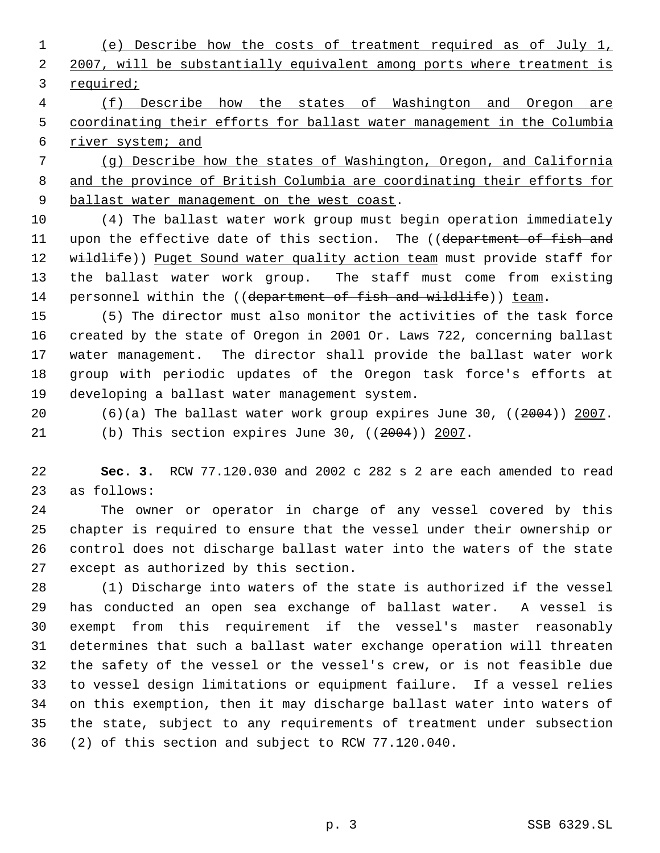(e) Describe how the costs of treatment required as of July 1, 2007, will be substantially equivalent among ports where treatment is required;

 (f) Describe how the states of Washington and Oregon are coordinating their efforts for ballast water management in the Columbia 6 river system; and

 (g) Describe how the states of Washington, Oregon, and California and the province of British Columbia are coordinating their efforts for 9 ballast water management on the west coast.

 (4) The ballast water work group must begin operation immediately 11 upon the effective date of this section. The ((department of fish and 12 wildlife)) Puget Sound water quality action team must provide staff for the ballast water work group. The staff must come from existing 14 personnel within the ((department of fish and wildlife)) team.

 (5) The director must also monitor the activities of the task force created by the state of Oregon in 2001 Or. Laws 722, concerning ballast water management. The director shall provide the ballast water work group with periodic updates of the Oregon task force's efforts at developing a ballast water management system.

 (6)(a) The ballast water work group expires June 30, ((2004)) 2007. (b) This section expires June 30, ((2004)) 2007.

 **Sec. 3.** RCW 77.120.030 and 2002 c 282 s 2 are each amended to read as follows:

 The owner or operator in charge of any vessel covered by this chapter is required to ensure that the vessel under their ownership or control does not discharge ballast water into the waters of the state except as authorized by this section.

 (1) Discharge into waters of the state is authorized if the vessel has conducted an open sea exchange of ballast water. A vessel is exempt from this requirement if the vessel's master reasonably determines that such a ballast water exchange operation will threaten the safety of the vessel or the vessel's crew, or is not feasible due to vessel design limitations or equipment failure. If a vessel relies on this exemption, then it may discharge ballast water into waters of the state, subject to any requirements of treatment under subsection (2) of this section and subject to RCW 77.120.040.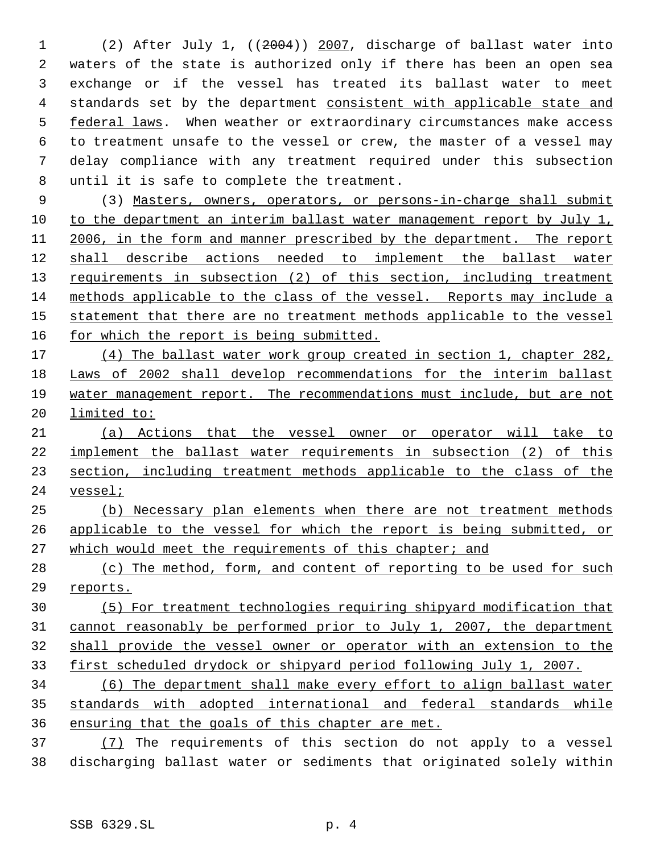(2) After July 1, ((2004)) 2007, discharge of ballast water into waters of the state is authorized only if there has been an open sea exchange or if the vessel has treated its ballast water to meet 4 standards set by the department consistent with applicable state and 5 federal laws. When weather or extraordinary circumstances make access to treatment unsafe to the vessel or crew, the master of a vessel may delay compliance with any treatment required under this subsection until it is safe to complete the treatment.

 (3) Masters, owners, operators, or persons-in-charge shall submit to the department an interim ballast water management report by July 1, 2006, in the form and manner prescribed by the department. The report shall describe actions needed to implement the ballast water 13 requirements in subsection (2) of this section, including treatment methods applicable to the class of the vessel. Reports may include a 15 statement that there are no treatment methods applicable to the vessel 16 for which the report is being submitted.

 (4) The ballast water work group created in section 1, chapter 282, Laws of 2002 shall develop recommendations for the interim ballast water management report. The recommendations must include, but are not limited to:

 (a) Actions that the vessel owner or operator will take to 22 implement the ballast water requirements in subsection (2) of this section, including treatment methods applicable to the class of the vessel;

 (b) Necessary plan elements when there are not treatment methods applicable to the vessel for which the report is being submitted, or which would meet the requirements of this chapter; and

28 (c) The method, form, and content of reporting to be used for such reports.

 (5) For treatment technologies requiring shipyard modification that cannot reasonably be performed prior to July 1, 2007, the department shall provide the vessel owner or operator with an extension to the first scheduled drydock or shipyard period following July 1, 2007.

 (6) The department shall make every effort to align ballast water standards with adopted international and federal standards while ensuring that the goals of this chapter are met.

 (7) The requirements of this section do not apply to a vessel discharging ballast water or sediments that originated solely within